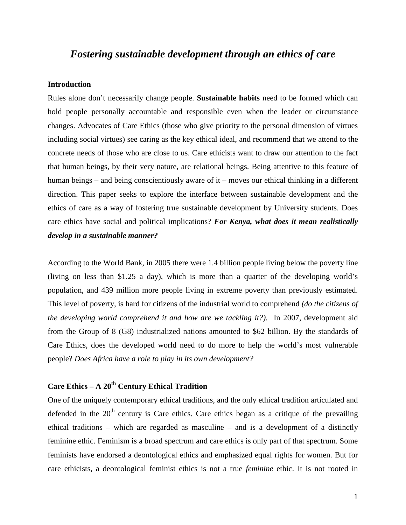# *Fostering sustainable development through an ethics of care*

## **Introduction**

Rules alone don't necessarily change people. **Sustainable habits** need to be formed which can hold people personally accountable and responsible even when the leader or circumstance changes. Advocates of Care Ethics (those who give priority to the personal dimension of virtues including social virtues) see caring as the key ethical ideal, and recommend that we attend to the concrete needs of those who are close to us. Care ethicists want to draw our attention to the fact that human beings, by their very nature, are relational beings. Being attentive to this feature of human beings – and being conscientiously aware of it – moves our ethical thinking in a different direction. This paper seeks to explore the interface between sustainable development and the ethics of care as a way of fostering true sustainable development by University students. Does care ethics have social and political implications? *For Kenya, what does it mean realistically develop in a sustainable manner?* 

According to the World Bank, in 2005 there were 1.4 billion people living below the poverty line (living on less than \$1.25 a day), which is more than a quarter of the developing world's population, and 439 million more people living in extreme poverty than previously estimated. This level of poverty, is hard for citizens of the industrial world to comprehend *(do the citizens of the developing world comprehend it and how are we tackling it?).* In 2007, development aid from the Group of 8 (G8) industrialized nations amounted to \$62 billion. By the standards of Care Ethics, does the developed world need to do more to help the world's most vulnerable people? *Does Africa have a role to play in its own development?* 

## **Care Ethics – A 20th Century Ethical Tradition**

One of the uniquely contemporary ethical traditions, and the only ethical tradition articulated and defended in the  $20<sup>th</sup>$  century is Care ethics. Care ethics began as a critique of the prevailing ethical traditions – which are regarded as masculine – and is a development of a distinctly feminine ethic. Feminism is a broad spectrum and care ethics is only part of that spectrum. Some feminists have endorsed a deontological ethics and emphasized equal rights for women. But for care ethicists, a deontological feminist ethics is not a true *feminine* ethic. It is not rooted in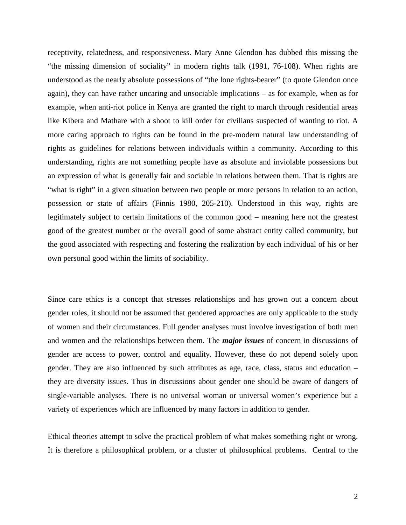receptivity, relatedness, and responsiveness. Mary Anne Glendon has dubbed this missing the "the missing dimension of sociality" in modern rights talk (1991, 76-108). When rights are understood as the nearly absolute possessions of "the lone rights-bearer" (to quote Glendon once again), they can have rather uncaring and unsociable implications – as for example, when as for example, when anti-riot police in Kenya are granted the right to march through residential areas like Kibera and Mathare with a shoot to kill order for civilians suspected of wanting to riot. A more caring approach to rights can be found in the pre-modern natural law understanding of rights as guidelines for relations between individuals within a community. According to this understanding, rights are not something people have as absolute and inviolable possessions but an expression of what is generally fair and sociable in relations between them. That is rights are "what is right" in a given situation between two people or more persons in relation to an action, possession or state of affairs (Finnis 1980, 205-210). Understood in this way, rights are legitimately subject to certain limitations of the common good – meaning here not the greatest good of the greatest number or the overall good of some abstract entity called community, but the good associated with respecting and fostering the realization by each individual of his or her own personal good within the limits of sociability.

Since care ethics is a concept that stresses relationships and has grown out a concern about gender roles, it should not be assumed that gendered approaches are only applicable to the study of women and their circumstances. Full gender analyses must involve investigation of both men and women and the relationships between them. The *major issues* of concern in discussions of gender are access to power, control and equality. However, these do not depend solely upon gender. They are also influenced by such attributes as age, race, class, status and education – they are diversity issues. Thus in discussions about gender one should be aware of dangers of single-variable analyses. There is no universal woman or universal women's experience but a variety of experiences which are influenced by many factors in addition to gender.

Ethical theories attempt to solve the practical problem of what makes something right or wrong. It is therefore a philosophical problem, or a cluster of philosophical problems. Central to the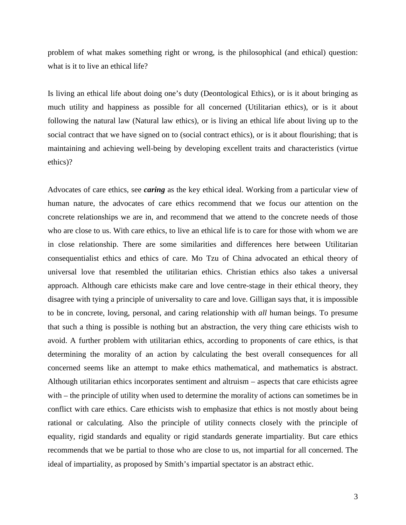problem of what makes something right or wrong, is the philosophical (and ethical) question: what is it to live an ethical life?

Is living an ethical life about doing one's duty (Deontological Ethics), or is it about bringing as much utility and happiness as possible for all concerned (Utilitarian ethics), or is it about following the natural law (Natural law ethics), or is living an ethical life about living up to the social contract that we have signed on to (social contract ethics), or is it about flourishing; that is maintaining and achieving well-being by developing excellent traits and characteristics (virtue ethics)?

Advocates of care ethics, see *caring* as the key ethical ideal. Working from a particular view of human nature, the advocates of care ethics recommend that we focus our attention on the concrete relationships we are in, and recommend that we attend to the concrete needs of those who are close to us. With care ethics, to live an ethical life is to care for those with whom we are in close relationship. There are some similarities and differences here between Utilitarian consequentialist ethics and ethics of care. Mo Tzu of China advocated an ethical theory of universal love that resembled the utilitarian ethics. Christian ethics also takes a universal approach. Although care ethicists make care and love centre-stage in their ethical theory, they disagree with tying a principle of universality to care and love. Gilligan says that, it is impossible to be in concrete, loving, personal, and caring relationship with *all* human beings. To presume that such a thing is possible is nothing but an abstraction, the very thing care ethicists wish to avoid. A further problem with utilitarian ethics, according to proponents of care ethics, is that determining the morality of an action by calculating the best overall consequences for all concerned seems like an attempt to make ethics mathematical, and mathematics is abstract. Although utilitarian ethics incorporates sentiment and altruism – aspects that care ethicists agree with – the principle of utility when used to determine the morality of actions can sometimes be in conflict with care ethics. Care ethicists wish to emphasize that ethics is not mostly about being rational or calculating. Also the principle of utility connects closely with the principle of equality, rigid standards and equality or rigid standards generate impartiality. But care ethics recommends that we be partial to those who are close to us, not impartial for all concerned. The ideal of impartiality, as proposed by Smith's impartial spectator is an abstract ethic.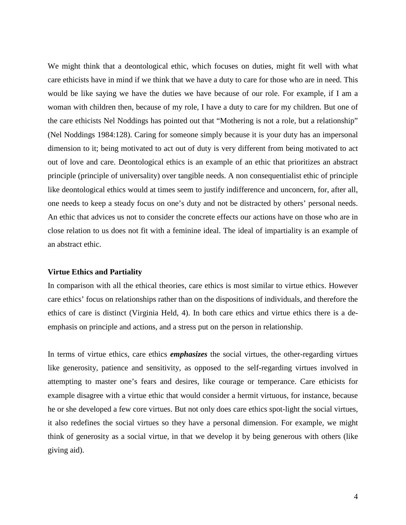We might think that a deontological ethic, which focuses on duties, might fit well with what care ethicists have in mind if we think that we have a duty to care for those who are in need. This would be like saying we have the duties we have because of our role. For example, if I am a woman with children then, because of my role, I have a duty to care for my children. But one of the care ethicists Nel Noddings has pointed out that "Mothering is not a role, but a relationship" (Nel Noddings 1984:128). Caring for someone simply because it is your duty has an impersonal dimension to it; being motivated to act out of duty is very different from being motivated to act out of love and care. Deontological ethics is an example of an ethic that prioritizes an abstract principle (principle of universality) over tangible needs. A non consequentialist ethic of principle like deontological ethics would at times seem to justify indifference and unconcern, for, after all, one needs to keep a steady focus on one's duty and not be distracted by others' personal needs. An ethic that advices us not to consider the concrete effects our actions have on those who are in close relation to us does not fit with a feminine ideal. The ideal of impartiality is an example of an abstract ethic.

#### **Virtue Ethics and Partiality**

In comparison with all the ethical theories, care ethics is most similar to virtue ethics. However care ethics' focus on relationships rather than on the dispositions of individuals, and therefore the ethics of care is distinct (Virginia Held, 4). In both care ethics and virtue ethics there is a deemphasis on principle and actions, and a stress put on the person in relationship.

In terms of virtue ethics, care ethics *emphasizes* the social virtues, the other-regarding virtues like generosity, patience and sensitivity, as opposed to the self-regarding virtues involved in attempting to master one's fears and desires, like courage or temperance. Care ethicists for example disagree with a virtue ethic that would consider a hermit virtuous, for instance, because he or she developed a few core virtues. But not only does care ethics spot-light the social virtues, it also redefines the social virtues so they have a personal dimension. For example, we might think of generosity as a social virtue, in that we develop it by being generous with others (like giving aid).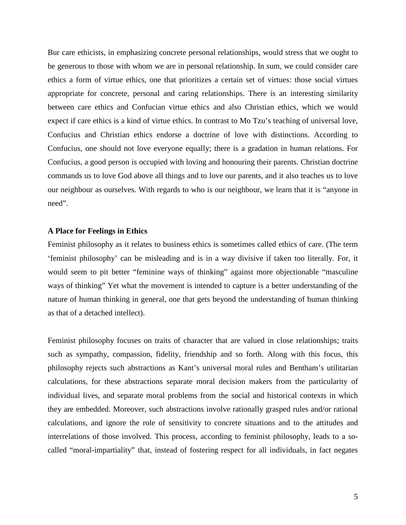Bur care ethicists, in emphasizing concrete personal relationships, would stress that we ought to be generous to those with whom we are in personal relationship. In sum, we could consider care ethics a form of virtue ethics, one that prioritizes a certain set of virtues: those social virtues appropriate for concrete, personal and caring relationships. There is an interesting similarity between care ethics and Confucian virtue ethics and also Christian ethics, which we would expect if care ethics is a kind of virtue ethics. In contrast to Mo Tzu's teaching of universal love, Confucius and Christian ethics endorse a doctrine of love with distinctions. According to Confucius, one should not love everyone equally; there is a gradation in human relations. For Confucius, a good person is occupied with loving and honouring their parents. Christian doctrine commands us to love God above all things and to love our parents, and it also teaches us to love our neighbour as ourselves. With regards to who is our neighbour, we learn that it is "anyone in need".

## **A Place for Feelings in Ethics**

Feminist philosophy as it relates to business ethics is sometimes called ethics of care. (The term 'feminist philosophy' can be misleading and is in a way divisive if taken too literally. For, it would seem to pit better "feminine ways of thinking" against more objectionable "masculine ways of thinking" Yet what the movement is intended to capture is a better understanding of the nature of human thinking in general, one that gets beyond the understanding of human thinking as that of a detached intellect).

Feminist philosophy focuses on traits of character that are valued in close relationships; traits such as sympathy, compassion, fidelity, friendship and so forth. Along with this focus, this philosophy rejects such abstractions as Kant's universal moral rules and Bentham's utilitarian calculations, for these abstractions separate moral decision makers from the particularity of individual lives, and separate moral problems from the social and historical contexts in which they are embedded. Moreover, such abstractions involve rationally grasped rules and/or rational calculations, and ignore the role of sensitivity to concrete situations and to the attitudes and interrelations of those involved. This process, according to feminist philosophy, leads to a socalled "moral-impartiality" that, instead of fostering respect for all individuals, in fact negates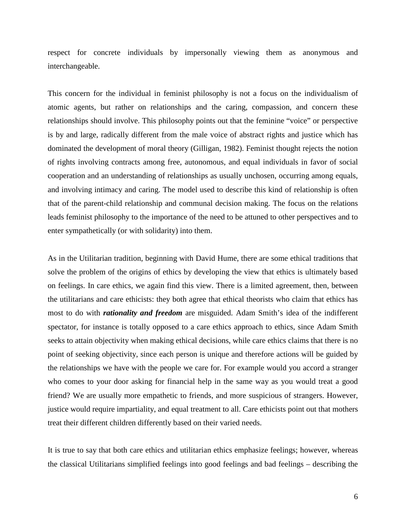respect for concrete individuals by impersonally viewing them as anonymous and interchangeable.

This concern for the individual in feminist philosophy is not a focus on the individualism of atomic agents, but rather on relationships and the caring, compassion, and concern these relationships should involve. This philosophy points out that the feminine "voice" or perspective is by and large, radically different from the male voice of abstract rights and justice which has dominated the development of moral theory (Gilligan, 1982). Feminist thought rejects the notion of rights involving contracts among free, autonomous, and equal individuals in favor of social cooperation and an understanding of relationships as usually unchosen, occurring among equals, and involving intimacy and caring. The model used to describe this kind of relationship is often that of the parent-child relationship and communal decision making. The focus on the relations leads feminist philosophy to the importance of the need to be attuned to other perspectives and to enter sympathetically (or with solidarity) into them.

As in the Utilitarian tradition, beginning with David Hume, there are some ethical traditions that solve the problem of the origins of ethics by developing the view that ethics is ultimately based on feelings. In care ethics, we again find this view. There is a limited agreement, then, between the utilitarians and care ethicists: they both agree that ethical theorists who claim that ethics has most to do with *rationality and freedom* are misguided. Adam Smith's idea of the indifferent spectator, for instance is totally opposed to a care ethics approach to ethics, since Adam Smith seeks to attain objectivity when making ethical decisions, while care ethics claims that there is no point of seeking objectivity, since each person is unique and therefore actions will be guided by the relationships we have with the people we care for. For example would you accord a stranger who comes to your door asking for financial help in the same way as you would treat a good friend? We are usually more empathetic to friends, and more suspicious of strangers. However, justice would require impartiality, and equal treatment to all. Care ethicists point out that mothers treat their different children differently based on their varied needs.

It is true to say that both care ethics and utilitarian ethics emphasize feelings; however, whereas the classical Utilitarians simplified feelings into good feelings and bad feelings – describing the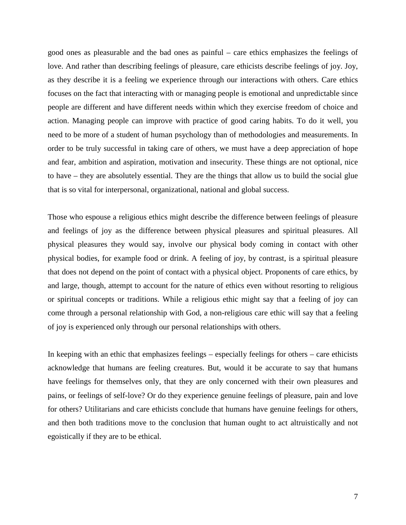good ones as pleasurable and the bad ones as painful – care ethics emphasizes the feelings of love. And rather than describing feelings of pleasure, care ethicists describe feelings of joy. Joy, as they describe it is a feeling we experience through our interactions with others. Care ethics focuses on the fact that interacting with or managing people is emotional and unpredictable since people are different and have different needs within which they exercise freedom of choice and action. Managing people can improve with practice of good caring habits. To do it well, you need to be more of a student of human psychology than of methodologies and measurements. In order to be truly successful in taking care of others, we must have a deep appreciation of hope and fear, ambition and aspiration, motivation and insecurity. These things are not optional, nice to have – they are absolutely essential. They are the things that allow us to build the social glue that is so vital for interpersonal, organizational, national and global success.

Those who espouse a religious ethics might describe the difference between feelings of pleasure and feelings of joy as the difference between physical pleasures and spiritual pleasures. All physical pleasures they would say, involve our physical body coming in contact with other physical bodies, for example food or drink. A feeling of joy, by contrast, is a spiritual pleasure that does not depend on the point of contact with a physical object. Proponents of care ethics, by and large, though, attempt to account for the nature of ethics even without resorting to religious or spiritual concepts or traditions. While a religious ethic might say that a feeling of joy can come through a personal relationship with God, a non-religious care ethic will say that a feeling of joy is experienced only through our personal relationships with others.

In keeping with an ethic that emphasizes feelings – especially feelings for others – care ethicists acknowledge that humans are feeling creatures. But, would it be accurate to say that humans have feelings for themselves only, that they are only concerned with their own pleasures and pains, or feelings of self-love? Or do they experience genuine feelings of pleasure, pain and love for others? Utilitarians and care ethicists conclude that humans have genuine feelings for others, and then both traditions move to the conclusion that human ought to act altruistically and not egoistically if they are to be ethical.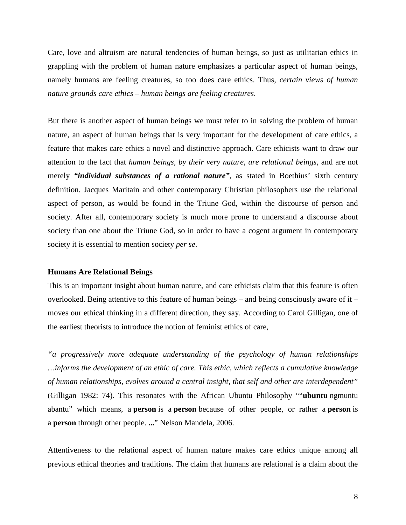Care, love and altruism are natural tendencies of human beings, so just as utilitarian ethics in grappling with the problem of human nature emphasizes a particular aspect of human beings, namely humans are feeling creatures, so too does care ethics. Thus, *certain views of human nature grounds care ethics – human beings are feeling creatures*.

But there is another aspect of human beings we must refer to in solving the problem of human nature, an aspect of human beings that is very important for the development of care ethics, a feature that makes care ethics a novel and distinctive approach. Care ethicists want to draw our attention to the fact that *human beings, by their very nature, are relational beings,* and are not merely *"individual substances of a rational nature"*, as stated in Boethius' sixth century definition. Jacques Maritain and other contemporary Christian philosophers use the relational aspect of person, as would be found in the Triune God, within the discourse of person and society. After all, contemporary society is much more prone to understand a discourse about society than one about the Triune God, so in order to have a cogent argument in contemporary society it is essential to mention society *per se*.

#### **Humans Are Relational Beings**

This is an important insight about human nature, and care ethicists claim that this feature is often overlooked. Being attentive to this feature of human beings – and being consciously aware of it – moves our ethical thinking in a different direction, they say. According to Carol Gilligan, one of the earliest theorists to introduce the notion of feminist ethics of care,

*"a progressively more adequate understanding of the psychology of human relationships …informs the development of an ethic of care. This ethic, which reflects a cumulative knowledge of human relationships, evolves around a central insight, that self and other are interdependent"* (Gilligan 1982: 74). This resonates with the African Ubuntu Philosophy ""**ubuntu** ngmuntu abantu" which means, a **person** is a **person** because of other people, or rather a **person** is a **person** through other people. **...**" Nelson Mandela, 2006.

Attentiveness to the relational aspect of human nature makes care ethics unique among all previous ethical theories and traditions. The claim that humans are relational is a claim about the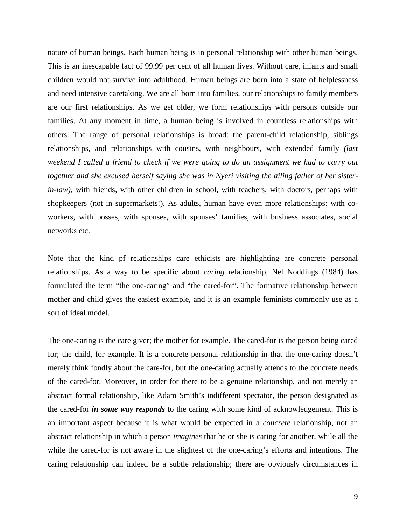nature of human beings. Each human being is in personal relationship with other human beings. This is an inescapable fact of 99.99 per cent of all human lives. Without care, infants and small children would not survive into adulthood. Human beings are born into a state of helplessness and need intensive caretaking. We are all born into families, our relationships to family members are our first relationships. As we get older, we form relationships with persons outside our families. At any moment in time, a human being is involved in countless relationships with others. The range of personal relationships is broad: the parent-child relationship, siblings relationships, and relationships with cousins, with neighbours, with extended family *(last weekend I called a friend to check if we were going to do an assignment we had to carry out together and she excused herself saying she was in Nyeri visiting the ailing father of her sisterin-law)*, with friends, with other children in school, with teachers, with doctors, perhaps with shopkeepers (not in supermarkets!). As adults, human have even more relationships: with coworkers, with bosses, with spouses, with spouses' families, with business associates, social networks etc.

Note that the kind pf relationships care ethicists are highlighting are concrete personal relationships. As a way to be specific about *caring* relationship, Nel Noddings (1984) has formulated the term "the one-caring" and "the cared-for". The formative relationship between mother and child gives the easiest example, and it is an example feminists commonly use as a sort of ideal model.

The one-caring is the care giver; the mother for example. The cared-for is the person being cared for; the child, for example. It is a concrete personal relationship in that the one-caring doesn't merely think fondly about the care-for, but the one-caring actually attends to the concrete needs of the cared-for. Moreover, in order for there to be a genuine relationship, and not merely an abstract formal relationship, like Adam Smith's indifferent spectator, the person designated as the cared-for *in some way responds* to the caring with some kind of acknowledgement. This is an important aspect because it is what would be expected in a *concrete* relationship, not an abstract relationship in which a person *imagines* that he or she is caring for another, while all the while the cared-for is not aware in the slightest of the one-caring's efforts and intentions. The caring relationship can indeed be a subtle relationship; there are obviously circumstances in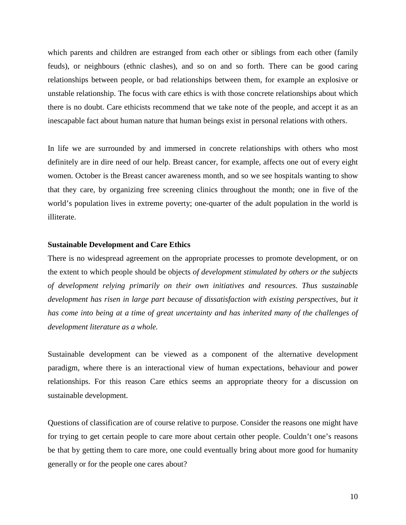which parents and children are estranged from each other or siblings from each other (family feuds), or neighbours (ethnic clashes), and so on and so forth. There can be good caring relationships between people, or bad relationships between them, for example an explosive or unstable relationship. The focus with care ethics is with those concrete relationships about which there is no doubt. Care ethicists recommend that we take note of the people, and accept it as an inescapable fact about human nature that human beings exist in personal relations with others.

In life we are surrounded by and immersed in concrete relationships with others who most definitely are in dire need of our help. Breast cancer, for example, affects one out of every eight women. October is the Breast cancer awareness month, and so we see hospitals wanting to show that they care, by organizing free screening clinics throughout the month; one in five of the world's population lives in extreme poverty; one-quarter of the adult population in the world is illiterate.

#### **Sustainable Development and Care Ethics**

There is no widespread agreement on the appropriate processes to promote development, or on the extent to which people should be objects *of development stimulated by others or the subjects of development relying primarily on their own initiatives and resources. Thus sustainable development has risen in large part because of dissatisfaction with existing perspectives, but it has come into being at a time of great uncertainty and has inherited many of the challenges of development literature as a whole.* 

Sustainable development can be viewed as a component of the alternative development paradigm, where there is an interactional view of human expectations, behaviour and power relationships. For this reason Care ethics seems an appropriate theory for a discussion on sustainable development.

Questions of classification are of course relative to purpose. Consider the reasons one might have for trying to get certain people to care more about certain other people. Couldn't one's reasons be that by getting them to care more, one could eventually bring about more good for humanity generally or for the people one cares about?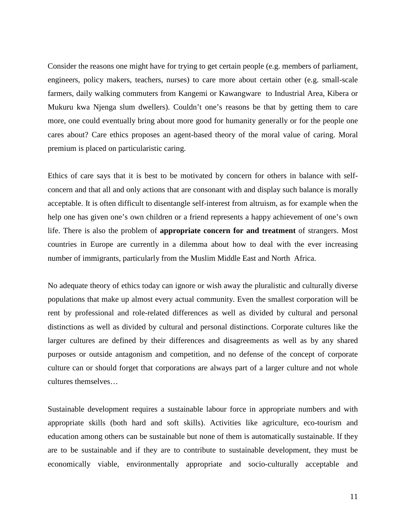Consider the reasons one might have for trying to get certain people (e.g. members of parliament, engineers, policy makers, teachers, nurses) to care more about certain other (e.g. small-scale farmers, daily walking commuters from Kangemi or Kawangware to Industrial Area, Kibera or Mukuru kwa Njenga slum dwellers). Couldn't one's reasons be that by getting them to care more, one could eventually bring about more good for humanity generally or for the people one cares about? Care ethics proposes an agent-based theory of the moral value of caring. Moral premium is placed on particularistic caring.

Ethics of care says that it is best to be motivated by concern for others in balance with selfconcern and that all and only actions that are consonant with and display such balance is morally acceptable. It is often difficult to disentangle self-interest from altruism, as for example when the help one has given one's own children or a friend represents a happy achievement of one's own life. There is also the problem of **appropriate concern for and treatment** of strangers. Most countries in Europe are currently in a dilemma about how to deal with the ever increasing number of immigrants, particularly from the Muslim Middle East and North Africa.

No adequate theory of ethics today can ignore or wish away the pluralistic and culturally diverse populations that make up almost every actual community. Even the smallest corporation will be rent by professional and role-related differences as well as divided by cultural and personal distinctions as well as divided by cultural and personal distinctions. Corporate cultures like the larger cultures are defined by their differences and disagreements as well as by any shared purposes or outside antagonism and competition, and no defense of the concept of corporate culture can or should forget that corporations are always part of a larger culture and not whole cultures themselves…

Sustainable development requires a sustainable labour force in appropriate numbers and with appropriate skills (both hard and soft skills). Activities like agriculture, eco-tourism and education among others can be sustainable but none of them is automatically sustainable. If they are to be sustainable and if they are to contribute to sustainable development, they must be economically viable, environmentally appropriate and socio-culturally acceptable and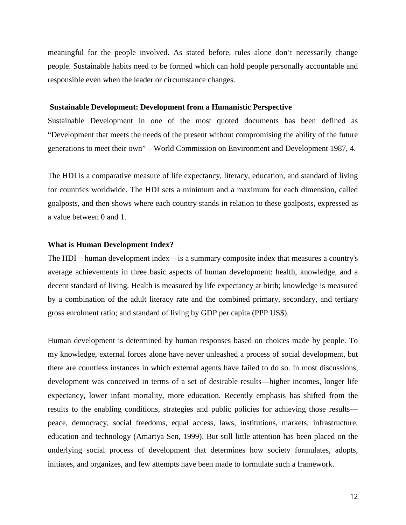meaningful for the people involved. As stated before, rules alone don't necessarily change people. Sustainable habits need to be formed which can hold people personally accountable and responsible even when the leader or circumstance changes.

#### **Sustainable Development: Development from a Humanistic Perspective**

Sustainable Development in one of the most quoted documents has been defined as "Development that meets the needs of the present without compromising the ability of the future generations to meet their own" – World Commission on Environment and Development 1987, 4.

The HDI is a comparative measure of life expectancy, literacy, education, and standard of living for countries worldwide. The HDI sets a minimum and a maximum for each dimension, called goalposts, and then shows where each country stands in relation to these goalposts, expressed as a value between 0 and 1.

### **What is Human Development Index?**

The  $HDI$  – human development index – is a summary composite index that measures a country's average achievements in three basic aspects of human development: health, knowledge, and a decent standard of living. Health is measured by life expectancy at birth; knowledge is measured by a combination of the adult literacy rate and the combined primary, secondary, and tertiary gross enrolment ratio; and standard of living by GDP per capita (PPP US\$).

Human development is determined by human responses based on choices made by people. To my knowledge, external forces alone have never unleashed a process of social development, but there are countless instances in which external agents have failed to do so. In most discussions, development was conceived in terms of a set of desirable results—higher incomes, longer life expectancy, lower infant mortality, more education. Recently emphasis has shifted from the results to the enabling conditions, strategies and public policies for achieving those results peace, democracy, social freedoms, equal access, laws, institutions, markets, infrastructure, education and technology (Amartya Sen, 1999). But still little attention has been placed on the underlying social process of development that determines how society formulates, adopts, initiates, and organizes, and few attempts have been made to formulate such a framework.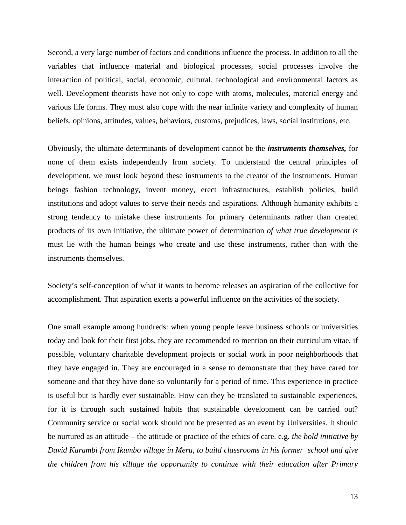Second, a very large number of factors and conditions influence the process. In addition to all the variables that influence material and biological processes, social processes involve the interaction of political, social, economic, cultural, technological and environmental factors as well. Development theorists have not only to cope with atoms, molecules, material energy and various life forms. They must also cope with the near infinite variety and complexity of human beliefs, opinions, attitudes, values, behaviors, customs, prejudices, laws, social institutions, etc.

Obviously, the ultimate determinants of development cannot be the *instruments themselves,* for none of them exists independently from society. To understand the central principles of development, we must look beyond these instruments to the creator of the instruments. Human beings fashion technology, invent money, erect infrastructures, establish policies, build institutions and adopt values to serve their needs and aspirations. Although humanity exhibits a strong tendency to mistake these instruments for primary determinants rather than created products of its own initiative, the ultimate power of determination *of what true development is* must lie with the human beings who create and use these instruments, rather than with the instruments themselves.

Society's self-conception of what it wants to become releases an aspiration of the collective for accomplishment. That aspiration exerts a powerful influence on the activities of the society.

One small example among hundreds: when young people leave business schools or universities today and look for their first jobs, they are recommended to mention on their curriculum vitae, if possible, voluntary charitable development projects or social work in poor neighborhoods that they have engaged in. They are encouraged in a sense to demonstrate that they have cared for someone and that they have done so voluntarily for a period of time. This experience in practice is useful but is hardly ever sustainable. How can they be translated to sustainable experiences, for it is through such sustained habits that sustainable development can be carried out? Community service or social work should not be presented as an event by Universities. It should be nurtured as an attitude – the attitude or practice of the ethics of care. e.g. *the bold initiative by David Karambi from Ikumbo village in Meru, to build classrooms in his former school and give the children from his village the opportunity to continue with their education after Primary*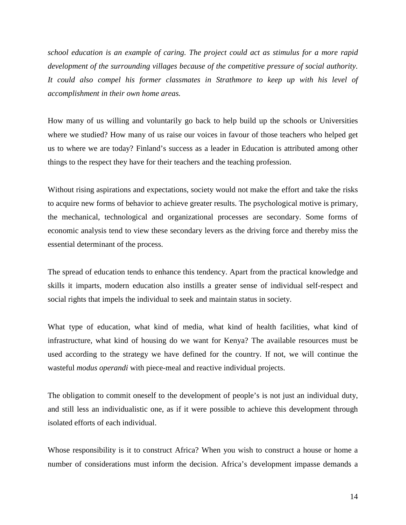*school education is an example of caring. The project could act as stimulus for a more rapid development of the surrounding villages because of the competitive pressure of social authority. It could also compel his former classmates in Strathmore to keep up with his level of accomplishment in their own home areas.* 

How many of us willing and voluntarily go back to help build up the schools or Universities where we studied? How many of us raise our voices in favour of those teachers who helped get us to where we are today? Finland's success as a leader in Education is attributed among other things to the respect they have for their teachers and the teaching profession.

Without rising aspirations and expectations, society would not make the effort and take the risks to acquire new forms of behavior to achieve greater results. The psychological motive is primary, the mechanical, technological and organizational processes are secondary. Some forms of economic analysis tend to view these secondary levers as the driving force and thereby miss the essential determinant of the process.

The spread of education tends to enhance this tendency. Apart from the practical knowledge and skills it imparts, modern education also instills a greater sense of individual self-respect and social rights that impels the individual to seek and maintain status in society.

What type of education, what kind of media, what kind of health facilities, what kind of infrastructure, what kind of housing do we want for Kenya? The available resources must be used according to the strategy we have defined for the country. If not, we will continue the wasteful *modus operandi* with piece-meal and reactive individual projects.

The obligation to commit oneself to the development of people's is not just an individual duty, and still less an individualistic one, as if it were possible to achieve this development through isolated efforts of each individual.

Whose responsibility is it to construct Africa? When you wish to construct a house or home a number of considerations must inform the decision. Africa's development impasse demands a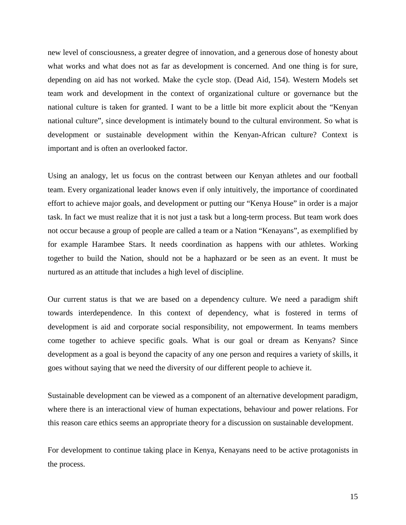new level of consciousness, a greater degree of innovation, and a generous dose of honesty about what works and what does not as far as development is concerned. And one thing is for sure, depending on aid has not worked. Make the cycle stop. (Dead Aid, 154). Western Models set team work and development in the context of organizational culture or governance but the national culture is taken for granted. I want to be a little bit more explicit about the "Kenyan national culture", since development is intimately bound to the cultural environment. So what is development or sustainable development within the Kenyan-African culture? Context is important and is often an overlooked factor.

Using an analogy, let us focus on the contrast between our Kenyan athletes and our football team. Every organizational leader knows even if only intuitively, the importance of coordinated effort to achieve major goals, and development or putting our "Kenya House" in order is a major task. In fact we must realize that it is not just a task but a long-term process. But team work does not occur because a group of people are called a team or a Nation "Kenayans", as exemplified by for example Harambee Stars. It needs coordination as happens with our athletes. Working together to build the Nation, should not be a haphazard or be seen as an event. It must be nurtured as an attitude that includes a high level of discipline.

Our current status is that we are based on a dependency culture. We need a paradigm shift towards interdependence. In this context of dependency, what is fostered in terms of development is aid and corporate social responsibility, not empowerment. In teams members come together to achieve specific goals. What is our goal or dream as Kenyans? Since development as a goal is beyond the capacity of any one person and requires a variety of skills, it goes without saying that we need the diversity of our different people to achieve it.

Sustainable development can be viewed as a component of an alternative development paradigm, where there is an interactional view of human expectations, behaviour and power relations. For this reason care ethics seems an appropriate theory for a discussion on sustainable development.

For development to continue taking place in Kenya, Kenayans need to be active protagonists in the process.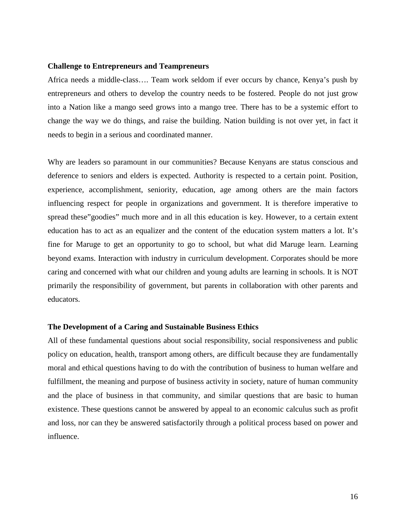#### **Challenge to Entrepreneurs and Teampreneurs**

Africa needs a middle-class…. Team work seldom if ever occurs by chance, Kenya's push by entrepreneurs and others to develop the country needs to be fostered. People do not just grow into a Nation like a mango seed grows into a mango tree. There has to be a systemic effort to change the way we do things, and raise the building. Nation building is not over yet, in fact it needs to begin in a serious and coordinated manner.

Why are leaders so paramount in our communities? Because Kenyans are status conscious and deference to seniors and elders is expected. Authority is respected to a certain point. Position, experience, accomplishment, seniority, education, age among others are the main factors influencing respect for people in organizations and government. It is therefore imperative to spread these"goodies" much more and in all this education is key. However, to a certain extent education has to act as an equalizer and the content of the education system matters a lot. It's fine for Maruge to get an opportunity to go to school, but what did Maruge learn. Learning beyond exams. Interaction with industry in curriculum development. Corporates should be more caring and concerned with what our children and young adults are learning in schools. It is NOT primarily the responsibility of government, but parents in collaboration with other parents and educators.

#### **The Development of a Caring and Sustainable Business Ethics**

All of these fundamental questions about social responsibility, social responsiveness and public policy on education, health, transport among others, are difficult because they are fundamentally moral and ethical questions having to do with the contribution of business to human welfare and fulfillment, the meaning and purpose of business activity in society, nature of human community and the place of business in that community, and similar questions that are basic to human existence. These questions cannot be answered by appeal to an economic calculus such as profit and loss, nor can they be answered satisfactorily through a political process based on power and influence.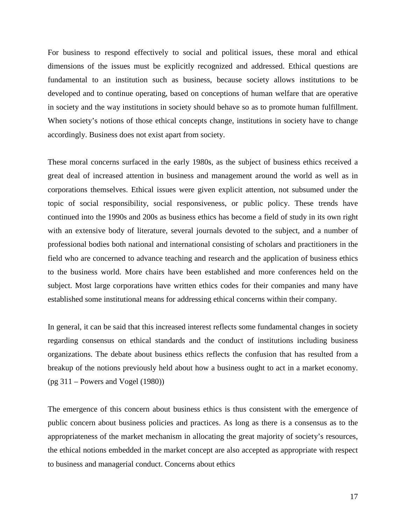For business to respond effectively to social and political issues, these moral and ethical dimensions of the issues must be explicitly recognized and addressed. Ethical questions are fundamental to an institution such as business, because society allows institutions to be developed and to continue operating, based on conceptions of human welfare that are operative in society and the way institutions in society should behave so as to promote human fulfillment. When society's notions of those ethical concepts change, institutions in society have to change accordingly. Business does not exist apart from society.

These moral concerns surfaced in the early 1980s, as the subject of business ethics received a great deal of increased attention in business and management around the world as well as in corporations themselves. Ethical issues were given explicit attention, not subsumed under the topic of social responsibility, social responsiveness, or public policy. These trends have continued into the 1990s and 200s as business ethics has become a field of study in its own right with an extensive body of literature, several journals devoted to the subject, and a number of professional bodies both national and international consisting of scholars and practitioners in the field who are concerned to advance teaching and research and the application of business ethics to the business world. More chairs have been established and more conferences held on the subject. Most large corporations have written ethics codes for their companies and many have established some institutional means for addressing ethical concerns within their company.

In general, it can be said that this increased interest reflects some fundamental changes in society regarding consensus on ethical standards and the conduct of institutions including business organizations. The debate about business ethics reflects the confusion that has resulted from a breakup of the notions previously held about how a business ought to act in a market economy. (pg 311 – Powers and Vogel (1980))

The emergence of this concern about business ethics is thus consistent with the emergence of public concern about business policies and practices. As long as there is a consensus as to the appropriateness of the market mechanism in allocating the great majority of society's resources, the ethical notions embedded in the market concept are also accepted as appropriate with respect to business and managerial conduct. Concerns about ethics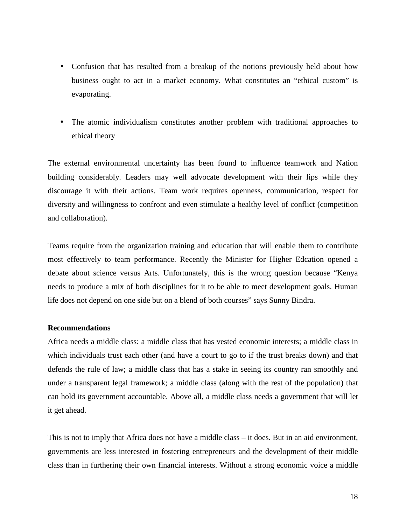- Confusion that has resulted from a breakup of the notions previously held about how business ought to act in a market economy. What constitutes an "ethical custom" is evaporating.
- The atomic individualism constitutes another problem with traditional approaches to ethical theory

The external environmental uncertainty has been found to influence teamwork and Nation building considerably. Leaders may well advocate development with their lips while they discourage it with their actions. Team work requires openness, communication, respect for diversity and willingness to confront and even stimulate a healthy level of conflict (competition and collaboration).

Teams require from the organization training and education that will enable them to contribute most effectively to team performance. Recently the Minister for Higher Edcation opened a debate about science versus Arts. Unfortunately, this is the wrong question because "Kenya needs to produce a mix of both disciplines for it to be able to meet development goals. Human life does not depend on one side but on a blend of both courses" says Sunny Bindra.

## **Recommendations**

Africa needs a middle class: a middle class that has vested economic interests; a middle class in which individuals trust each other (and have a court to go to if the trust breaks down) and that defends the rule of law; a middle class that has a stake in seeing its country ran smoothly and under a transparent legal framework; a middle class (along with the rest of the population) that can hold its government accountable. Above all, a middle class needs a government that will let it get ahead.

This is not to imply that Africa does not have a middle class – it does. But in an aid environment, governments are less interested in fostering entrepreneurs and the development of their middle class than in furthering their own financial interests. Without a strong economic voice a middle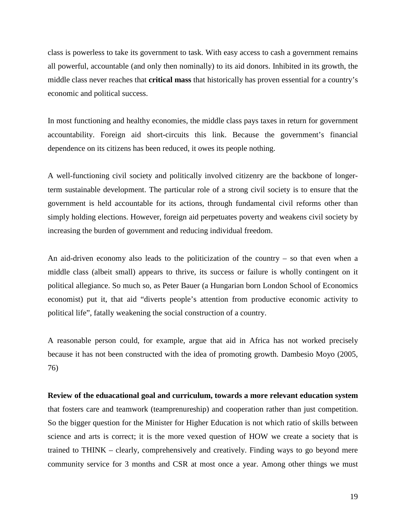class is powerless to take its government to task. With easy access to cash a government remains all powerful, accountable (and only then nominally) to its aid donors. Inhibited in its growth, the middle class never reaches that **critical mass** that historically has proven essential for a country's economic and political success.

In most functioning and healthy economies, the middle class pays taxes in return for government accountability. Foreign aid short-circuits this link. Because the government's financial dependence on its citizens has been reduced, it owes its people nothing.

A well-functioning civil society and politically involved citizenry are the backbone of longerterm sustainable development. The particular role of a strong civil society is to ensure that the government is held accountable for its actions, through fundamental civil reforms other than simply holding elections. However, foreign aid perpetuates poverty and weakens civil society by increasing the burden of government and reducing individual freedom.

An aid-driven economy also leads to the politicization of the country – so that even when a middle class (albeit small) appears to thrive, its success or failure is wholly contingent on it political allegiance. So much so, as Peter Bauer (a Hungarian born London School of Economics economist) put it, that aid "diverts people's attention from productive economic activity to political life", fatally weakening the social construction of a country.

A reasonable person could, for example, argue that aid in Africa has not worked precisely because it has not been constructed with the idea of promoting growth. Dambesio Moyo (2005, 76)

**Review of the eduacational goal and curriculum, towards a more relevant education system**  that fosters care and teamwork (teamprenureship) and cooperation rather than just competition. So the bigger question for the Minister for Higher Education is not which ratio of skills between science and arts is correct; it is the more vexed question of HOW we create a society that is trained to THINK – clearly, comprehensively and creatively. Finding ways to go beyond mere community service for 3 months and CSR at most once a year. Among other things we must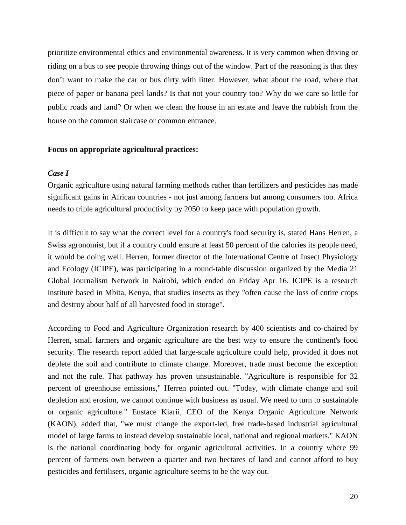prioritize environmental ethics and environmental awareness. It is very common when driving or riding on a bus to see people throwing things out of the window. Part of the reasoning is that they don't want to make the car or bus dirty with litter. However, what about the road, where that piece of paper or banana peel lands? Is that not your country too? Why do we care so little for public roads and land? Or when we clean the house in an estate and leave the rubbish from the house on the common staircase or common entrance.

## **Focus on appropriate agricultural practices:**

## *Case I*

Organic agriculture using natural farming methods rather than fertilizers and pesticides has made significant gains in African countries - not just among farmers but among consumers too. Africa needs to triple agricultural productivity by 2050 to keep pace with population growth.

It is difficult to say what the correct level for a country's food security is, stated Hans Herren, a Swiss agronomist, but if a country could ensure at least 50 percent of the calories its people need, it would be doing well. Herren, former director of the International Centre of Insect Physiology and Ecology (ICIPE), was participating in a round-table discussion organized by the Media 21 Global Journalism Network in Nairobi, which ended on Friday Apr 16. ICIPE is a research institute based in Mbita, Kenya, that studies insects as they "often cause the loss of entire crops and destroy about half of all harvested food in storage".

According to Food and Agriculture Organization research by 400 scientists and co-chaired by Herren, small farmers and organic agriculture are the best way to ensure the continent's food security. The research report added that large-scale agriculture could help, provided it does not deplete the soil and contribute to climate change. Moreover, trade must become the exception and not the rule. That pathway has proven unsustainable. "Agriculture is responsible for 32 percent of greenhouse emissions," Herren pointed out. "Today, with climate change and soil depletion and erosion, we cannot continue with business as usual. We need to turn to sustainable or organic agriculture." Eustace Kiarii, CEO of the Kenya Organic Agriculture Network (KAON), added that, "we must change the export-led, free trade-based industrial agricultural model of large farms to instead develop sustainable local, national and regional markets." KAON is the national coordinating body for organic agricultural activities. In a country where 99 percent of farmers own between a quarter and two hectares of land and cannot afford to buy pesticides and fertilisers, organic agriculture seems to be the way out.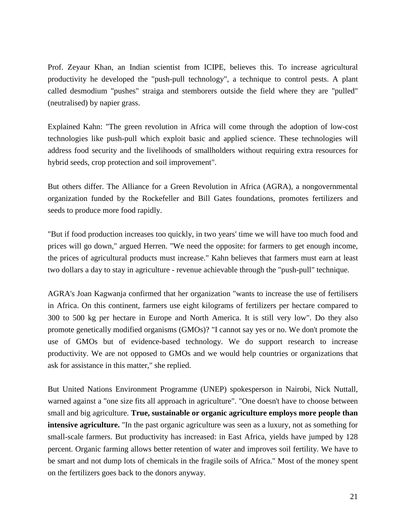Prof. Zeyaur Khan, an Indian scientist from ICIPE, believes this. To increase agricultural productivity he developed the "push-pull technology", a technique to control pests. A plant called desmodium "pushes" straiga and stemborers outside the field where they are "pulled" (neutralised) by napier grass.

Explained Kahn: "The green revolution in Africa will come through the adoption of low-cost technologies like push-pull which exploit basic and applied science. These technologies will address food security and the livelihoods of smallholders without requiring extra resources for hybrid seeds, crop protection and soil improvement".

But others differ. The Alliance for a Green Revolution in Africa (AGRA), a nongovernmental organization funded by the Rockefeller and Bill Gates foundations, promotes fertilizers and seeds to produce more food rapidly.

"But if food production increases too quickly, in two years' time we will have too much food and prices will go down," argued Herren. "We need the opposite: for farmers to get enough income, the prices of agricultural products must increase." Kahn believes that farmers must earn at least two dollars a day to stay in agriculture - revenue achievable through the "push-pull" technique.

AGRA's Joan Kagwanja confirmed that her organization "wants to increase the use of fertilisers in Africa. On this continent, farmers use eight kilograms of fertilizers per hectare compared to 300 to 500 kg per hectare in Europe and North America. It is still very low". Do they also promote genetically modified organisms (GMOs)? "I cannot say yes or no. We don't promote the use of GMOs but of evidence-based technology. We do support research to increase productivity. We are not opposed to GMOs and we would help countries or organizations that ask for assistance in this matter," she replied.

But United Nations Environment Programme (UNEP) spokesperson in Nairobi, Nick Nuttall, warned against a "one size fits all approach in agriculture". "One doesn't have to choose between small and big agriculture. **True, sustainable or organic agriculture employs more people than intensive agriculture.** "In the past organic agriculture was seen as a luxury, not as something for small-scale farmers. But productivity has increased: in East Africa, yields have jumped by 128 percent. Organic farming allows better retention of water and improves soil fertility. We have to be smart and not dump lots of chemicals in the fragile soils of Africa." Most of the money spent on the fertilizers goes back to the donors anyway.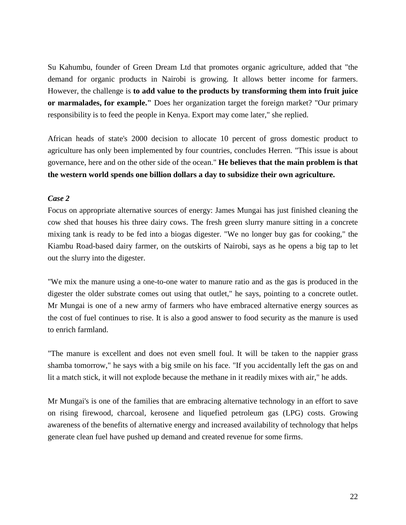Su Kahumbu, founder of Green Dream Ltd that promotes organic agriculture, added that "the demand for organic products in Nairobi is growing. It allows better income for farmers. However, the challenge is **to add value to the products by transforming them into fruit juice or marmalades, for example."** Does her organization target the foreign market? "Our primary responsibility is to feed the people in Kenya. Export may come later," she replied.

African heads of state's 2000 decision to allocate 10 percent of gross domestic product to agriculture has only been implemented by four countries, concludes Herren. "This issue is about governance, here and on the other side of the ocean." **He believes that the main problem is that the western world spends one billion dollars a day to subsidize their own agriculture.**

## *Case 2*

Focus on appropriate alternative sources of energy: James Mungai has just finished cleaning the cow shed that houses his three dairy cows. The fresh green slurry manure sitting in a concrete mixing tank is ready to be fed into a biogas digester. "We no longer buy gas for cooking," the Kiambu Road-based dairy farmer, on the outskirts of Nairobi, says as he opens a big tap to let out the slurry into the digester.

"We mix the manure using a one-to-one water to manure ratio and as the gas is produced in the digester the older substrate comes out using that outlet," he says, pointing to a concrete outlet. Mr Mungai is one of a new army of farmers who have embraced alternative energy sources as the cost of fuel continues to rise. It is also a good answer to food security as the manure is used to enrich farmland.

"The manure is excellent and does not even smell foul. It will be taken to the nappier grass shamba tomorrow," he says with a big smile on his face. "If you accidentally left the gas on and lit a match stick, it will not explode because the methane in it readily mixes with air," he adds.

Mr Mungai's is one of the families that are embracing alternative technology in an effort to save on rising firewood, charcoal, kerosene and liquefied petroleum gas (LPG) costs. Growing awareness of the benefits of alternative energy and increased availability of technology that helps generate clean fuel have pushed up demand and created revenue for some firms.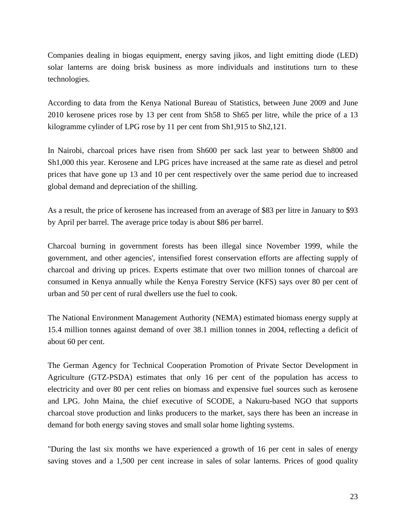Companies dealing in biogas equipment, energy saving jikos, and light emitting diode (LED) solar lanterns are doing brisk business as more individuals and institutions turn to these technologies.

According to data from the Kenya National Bureau of Statistics, between June 2009 and June 2010 kerosene prices rose by 13 per cent from Sh58 to Sh65 per litre, while the price of a 13 kilogramme cylinder of LPG rose by 11 per cent from Sh1,915 to Sh2,121.

In Nairobi, charcoal prices have risen from Sh600 per sack last year to between Sh800 and Sh1,000 this year. Kerosene and LPG prices have increased at the same rate as diesel and petrol prices that have gone up 13 and 10 per cent respectively over the same period due to increased global demand and depreciation of the shilling.

As a result, the price of kerosene has increased from an average of \$83 per litre in January to \$93 by April per barrel. The average price today is about \$86 per barrel.

Charcoal burning in government forests has been illegal since November 1999, while the government, and other agencies', intensified forest conservation efforts are affecting supply of charcoal and driving up prices. Experts estimate that over two million tonnes of charcoal are consumed in Kenya annually while the Kenya Forestry Service (KFS) says over 80 per cent of urban and 50 per cent of rural dwellers use the fuel to cook.

The National Environment Management Authority (NEMA) estimated biomass energy supply at 15.4 million tonnes against demand of over 38.1 million tonnes in 2004, reflecting a deficit of about 60 per cent.

The German Agency for Technical Cooperation Promotion of Private Sector Development in Agriculture (GTZ-PSDA) estimates that only 16 per cent of the population has access to electricity and over 80 per cent relies on biomass and expensive fuel sources such as kerosene and LPG. John Maina, the chief executive of SCODE, a Nakuru-based NGO that supports charcoal stove production and links producers to the market, says there has been an increase in demand for both energy saving stoves and small solar home lighting systems.

"During the last six months we have experienced a growth of 16 per cent in sales of energy saving stoves and a 1,500 per cent increase in sales of solar lanterns. Prices of good quality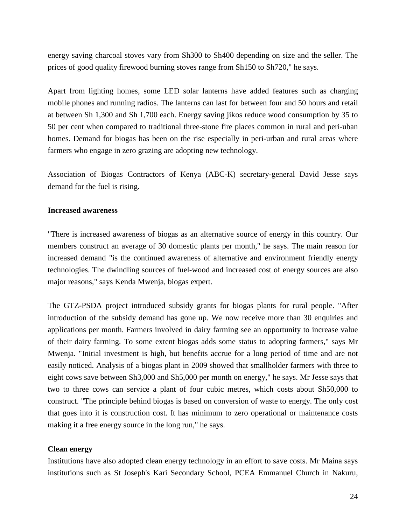energy saving charcoal stoves vary from Sh300 to Sh400 depending on size and the seller. The prices of good quality firewood burning stoves range from Sh150 to Sh720," he says.

Apart from lighting homes, some LED solar lanterns have added features such as charging mobile phones and running radios. The lanterns can last for between four and 50 hours and retail at between Sh 1,300 and Sh 1,700 each. Energy saving jikos reduce wood consumption by 35 to 50 per cent when compared to traditional three-stone fire places common in rural and peri-uban homes. Demand for biogas has been on the rise especially in peri-urban and rural areas where farmers who engage in zero grazing are adopting new technology.

Association of Biogas Contractors of Kenya (ABC-K) secretary-general David Jesse says demand for the fuel is rising.

## **Increased awareness**

"There is increased awareness of biogas as an alternative source of energy in this country. Our members construct an average of 30 domestic plants per month," he says. The main reason for increased demand "is the continued awareness of alternative and environment friendly energy technologies. The dwindling sources of fuel-wood and increased cost of energy sources are also major reasons," says Kenda Mwenja, biogas expert.

The GTZ-PSDA project introduced subsidy grants for biogas plants for rural people. "After introduction of the subsidy demand has gone up. We now receive more than 30 enquiries and applications per month. Farmers involved in dairy farming see an opportunity to increase value of their dairy farming. To some extent biogas adds some status to adopting farmers," says Mr Mwenja. "Initial investment is high, but benefits accrue for a long period of time and are not easily noticed. Analysis of a biogas plant in 2009 showed that smallholder farmers with three to eight cows save between Sh3,000 and Sh5,000 per month on energy," he says. Mr Jesse says that two to three cows can service a plant of four cubic metres, which costs about Sh50,000 to construct. "The principle behind biogas is based on conversion of waste to energy. The only cost that goes into it is construction cost. It has minimum to zero operational or maintenance costs making it a free energy source in the long run," he says.

## **Clean energy**

Institutions have also adopted clean energy technology in an effort to save costs. Mr Maina says institutions such as St Joseph's Kari Secondary School, PCEA Emmanuel Church in Nakuru,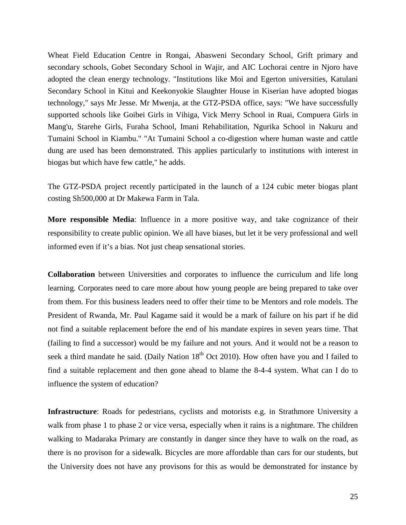Wheat Field Education Centre in Rongai, Abasweni Secondary School, Grift primary and secondary schools, Gobet Secondary School in Wajir, and AIC Lochorai centre in Njoro have adopted the clean energy technology. "Institutions like Moi and Egerton universities, Katulani Secondary School in Kitui and Keekonyokie Slaughter House in Kiserian have adopted biogas technology," says Mr Jesse. Mr Mwenja, at the GTZ-PSDA office, says: "We have successfully supported schools like Goibei Girls in Vihiga, Vick Merry School in Ruai, Compuera Girls in Mang'u, Starehe Girls, Furaha School, Imani Rehabilitation, Ngurika School in Nakuru and Tumaini School in Kiambu." "At Tumaini School a co-digestion where human waste and cattle dung are used has been demonstrated. This applies particularly to institutions with interest in biogas but which have few cattle," he adds.

The GTZ-PSDA project recently participated in the launch of a 124 cubic meter biogas plant costing Sh500,000 at Dr Makewa Farm in Tala.

**More responsible Media**: Influence in a more positive way, and take cognizance of their responsibility to create public opinion. We all have biases, but let it be very professional and well informed even if it's a bias. Not just cheap sensational stories.

**Collaboration** between Universities and corporates to influence the curriculum and life long learning. Corporates need to care more about how young people are being prepared to take over from them. For this business leaders need to offer their time to be Mentors and role models. The President of Rwanda, Mr. Paul Kagame said it would be a mark of failure on his part if he did not find a suitable replacement before the end of his mandate expires in seven years time. That (failing to find a successor) would be my failure and not yours. And it would not be a reason to seek a third mandate he said. (Daily Nation  $18<sup>th</sup>$  Oct 2010). How often have you and I failed to find a suitable replacement and then gone ahead to blame the 8-4-4 system. What can I do to influence the system of education?

**Infrastructure**: Roads for pedestrians, cyclists and motorists e.g. in Strathmore University a walk from phase 1 to phase 2 or vice versa, especially when it rains is a nightmare. The children walking to Madaraka Primary are constantly in danger since they have to walk on the road, as there is no provison for a sidewalk. Bicycles are more affordable than cars for our students, but the University does not have any provisons for this as would be demonstrated for instance by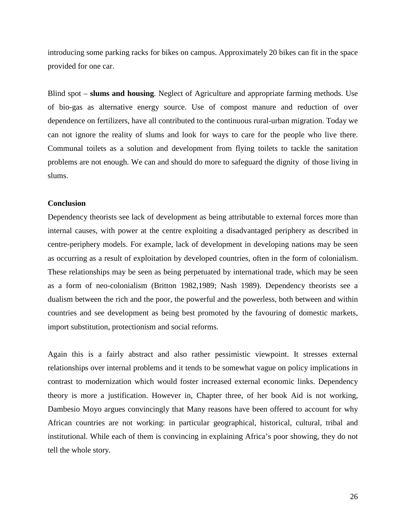introducing some parking racks for bikes on campus. Approximately 20 bikes can fit in the space provided for one car.

Blind spot – **slums and housing**. Neglect of Agriculture and appropriate farming methods. Use of bio-gas as alternative energy source. Use of compost manure and reduction of over dependence on fertilizers, have all contributed to the continuous rural-urban migration. Today we can not ignore the reality of slums and look for ways to care for the people who live there. Communal toilets as a solution and development from flying toilets to tackle the sanitation problems are not enough. We can and should do more to safeguard the dignity of those living in slums.

## **Conclusion**

Dependency theorists see lack of development as being attributable to external forces more than internal causes, with power at the centre exploiting a disadvantaged periphery as described in centre-periphery models. For example, lack of development in developing nations may be seen as occurring as a result of exploitation by developed countries, often in the form of colonialism. These relationships may be seen as being perpetuated by international trade, which may be seen as a form of neo-colonialism (Britton 1982,1989; Nash 1989). Dependency theorists see a dualism between the rich and the poor, the powerful and the powerless, both between and within countries and see development as being best promoted by the favouring of domestic markets, import substitution, protectionism and social reforms.

Again this is a fairly abstract and also rather pessimistic viewpoint. It stresses external relationships over internal problems and it tends to be somewhat vague on policy implications in contrast to modernization which would foster increased external economic links. Dependency theory is more a justification. However in, Chapter three, of her book Aid is not working, Dambesio Moyo argues convincingly that Many reasons have been offered to account for why African countries are not working: in particular geographical, historical, cultural, tribal and institutional. While each of them is convincing in explaining Africa's poor showing, they do not tell the whole story.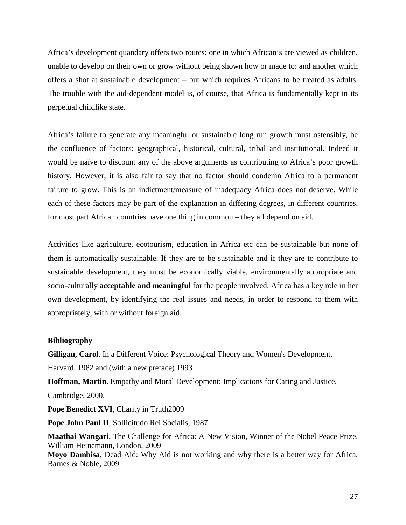Africa's development quandary offers two routes: one in which African's are viewed as children, unable to develop on their own or grow without being shown how or made to: and another which offers a shot at sustainable development – but which requires Africans to be treated as adults. The trouble with the aid-dependent model is, of course, that Africa is fundamentally kept in its perpetual childlike state.

Africa's failure to generate any meaningful or sustainable long run growth must ostensibly, be the confluence of factors: geographical, historical, cultural, tribal and institutional. Indeed it would be naïve to discount any of the above arguments as contributing to Africa's poor growth history. However, it is also fair to say that no factor should condemn Africa to a permanent failure to grow. This is an indictment/measure of inadequacy Africa does not deserve. While each of these factors may be part of the explanation in differing degrees, in different countries, for most part African countries have one thing in common – they all depend on aid.

Activities like agriculture, ecotourism, education in Africa etc can be sustainable but none of them is automatically sustainable. If they are to be sustainable and if they are to contribute to sustainable development, they must be economically viable, environmentally appropriate and socio-culturally **acceptable and meaningful** for the people involved. Africa has a key role in her own development, by identifying the real issues and needs, in order to respond to them with appropriately, with or without foreign aid.

## **Bibliography**

**Gilligan, Carol**. In a Different Voice: Psychological Theory and Women's Development,

Harvard, 1982 and (with a new preface) 1993

**Hoffman, Martin**. Empathy and Moral Development: Implications for Caring and Justice, Cambridge, 2000.

**Pope Benedict XVI**, Charity in Truth2009

**Pope John Paul II**, Sollicitudo Rei Socialis, 1987

**Maathai Wangari**, The Challenge for Africa: A New Vision, Winner of the Nobel Peace Prize, William Heinemann, London, 2009 **Moyo Dambisa**, Dead Aid: Why Aid is not working and why there is a better way for Africa, Barnes & Noble, 2009